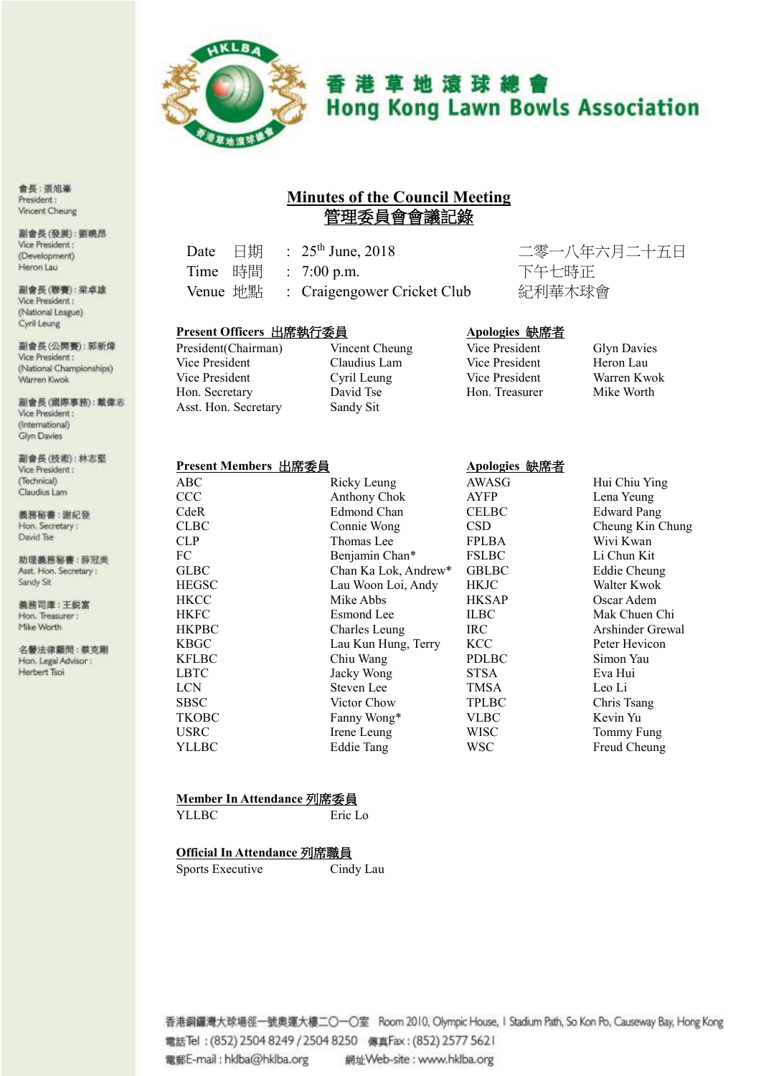

# 香港草地滾球總會 **Hong Kong Lawn Bowls Association**

# **Minutes of the Council Meeting** 管理委員會會議記錄

| Date 日期 |  | : $25^{th}$ June, 2018               |
|---------|--|--------------------------------------|
|         |  | Time 時間 : 7:00 p.m.                  |
|         |  | Venue 地點 : Craigengower Cricket Club |

二零一八年六月二十五日

#### **Present Officers** 出席執行委員 **Apologies** 缺席者

President(Chairman) Vincent Cheung Vice President Claudius Lam Vice President Cyril Leung Hon. Secretary David Tse Asst. Hon. Secretary Sandy Sit

| <b>Glyn Davies</b> |
|--------------------|
| Heron Lau          |
| Warren Kwok        |
| Mike Worth         |
|                    |

#### **Present Members** 出席委員 **Apologies** 缺席者

| —————        |                      |              |                     |
|--------------|----------------------|--------------|---------------------|
| <b>ABC</b>   | Ricky Leung          | AWASG        | Hui Chiu Ying       |
| <b>CCC</b>   | Anthony Chok         | <b>AYFP</b>  | Lena Yeung          |
| CdeR         | Edmond Chan          | <b>CELBC</b> | <b>Edward Pang</b>  |
| <b>CLBC</b>  | Connie Wong          | <b>CSD</b>   | Cheung Kin Chung    |
| <b>CLP</b>   | Thomas Lee           | <b>FPLBA</b> | Wivi Kwan           |
| FC           | Benjamin Chan*       | <b>FSLBC</b> | Li Chun Kit         |
| <b>GLBC</b>  | Chan Ka Lok, Andrew* | <b>GBLBC</b> | <b>Eddie Cheung</b> |
| <b>HEGSC</b> | Lau Woon Loi, Andy   | <b>HKJC</b>  | Walter Kwok         |
| <b>HKCC</b>  | Mike Abbs            | <b>HKSAP</b> | Oscar Adem          |
| <b>HKFC</b>  | Esmond Lee           | <b>ILBC</b>  | Mak Chuen Chi       |
| <b>HKPBC</b> | Charles Leung        | <b>IRC</b>   | Arshinder Grewal    |
| <b>KBGC</b>  | Lau Kun Hung, Terry  | KCC          | Peter Hevicon       |
| <b>KFLBC</b> | Chiu Wang            | <b>PDLBC</b> | Simon Yau           |
| <b>LBTC</b>  | Jacky Wong           | <b>STSA</b>  | Eva Hui             |
| <b>LCN</b>   | Steven Lee           | <b>TMSA</b>  | Leo Li              |
| <b>SBSC</b>  | Victor Chow          | <b>TPLBC</b> | Chris Tsang         |
| <b>TKOBC</b> | Fanny Wong*          | <b>VLBC</b>  | Kevin Yu            |
| <b>USRC</b>  | Irene Leung          | <b>WISC</b>  | Tommy Fung          |
| YLLBC        | <b>Eddie Tang</b>    | <b>WSC</b>   | Freud Cheung        |
|              |                      |              |                     |

#### **Member In Attendance** 列席委員

YLLBC Eric Lo

#### **Official In Attendance** 列席職員

Sports Executive Cindy Lau

# 下午七時正 紀利華木球會

香港銅鑼灣大球場徑一號奧運大樓二〇一〇室 Room 2010, Olympic House, I Stadium Path, So Kon Po, Causeway Bay, Hong Kong 電話Tel: (852) 2504 8249 / 2504 8250 傳真Fax: (852) 2577 5621 電郵E-mail: hklba@hklba.org 網址Web-site: www.hklba.org

會長:張旭峯 President: Vincent Cheung

副會長(發展):劉曉昂 Vice President: (Development) Heron Lau

副會長(聯賽):梁卓雄 Vice President: (National League) Cyril Leung

副會長(公開賽):郭新煒 Vice President: (National Championships) Warren Kwok

副會長(國際事務):戴偉志 Vice President: (International) Glyn Davies

副會長(技術):林志堅 Vice President: (Technical) Claudius Lam

義務秘書:謝紀發 Hon. Secretary: David Tse

助理美務秘書:薛冠美 Asst. Hon. Secretary : Sandy Sit

義務司庫:王鋭富 Hon. Treasurer: Mike Worth

名譽法律顧問:蔡克剛 Hon. Legal Advisor : Herbert Tsoi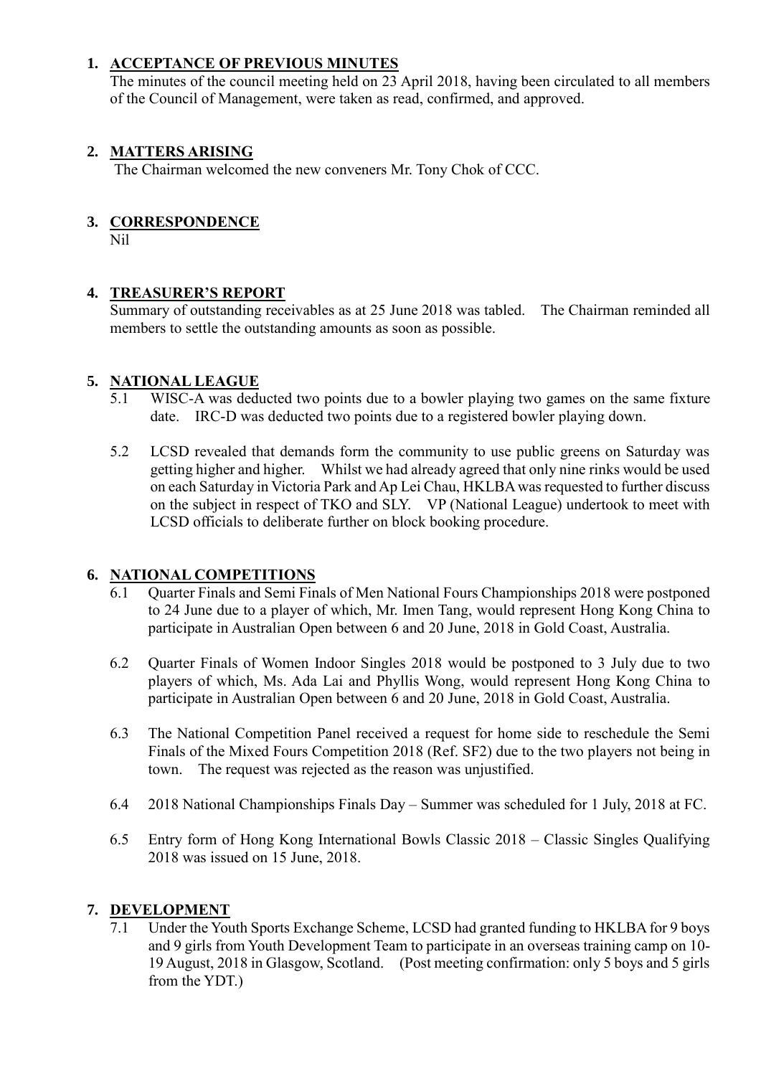#### **1. ACCEPTANCE OF PREVIOUS MINUTES**

The minutes of the council meeting held on 23 April 2018, having been circulated to all members of the Council of Management, were taken as read, confirmed, and approved.

#### **2. MATTERS ARISING**

The Chairman welcomed the new conveners Mr. Tony Chok of CCC.

## **3. CORRESPONDENCE**

Nil

## **4. TREASURER'S REPORT**

Summary of outstanding receivables as at 25 June 2018 was tabled. The Chairman reminded all members to settle the outstanding amounts as soon as possible.

#### **5. NATIONAL LEAGUE**

- 5.1 WISC-A was deducted two points due to a bowler playing two games on the same fixture date. IRC-D was deducted two points due to a registered bowler playing down.
- 5.2 LCSD revealed that demands form the community to use public greens on Saturday was getting higher and higher. Whilst we had already agreed that only nine rinks would be used on each Saturday in Victoria Park and Ap Lei Chau, HKLBA was requested to further discuss on the subject in respect of TKO and SLY. VP (National League) undertook to meet with LCSD officials to deliberate further on block booking procedure.

## **6. NATIONAL COMPETITIONS**

- 6.1 Quarter Finals and Semi Finals of Men National Fours Championships 2018 were postponed to 24 June due to a player of which, Mr. Imen Tang, would represent Hong Kong China to participate in Australian Open between 6 and 20 June, 2018 in Gold Coast, Australia.
- 6.2 Quarter Finals of Women Indoor Singles 2018 would be postponed to 3 July due to two players of which, Ms. Ada Lai and Phyllis Wong, would represent Hong Kong China to participate in Australian Open between 6 and 20 June, 2018 in Gold Coast, Australia.
- 6.3 The National Competition Panel received a request for home side to reschedule the Semi Finals of the Mixed Fours Competition 2018 (Ref. SF2) due to the two players not being in town. The request was rejected as the reason was unjustified.
- 6.4 2018 National Championships Finals Day Summer was scheduled for 1 July, 2018 at FC.
- 6.5 Entry form of Hong Kong International Bowls Classic 2018 Classic Singles Qualifying 2018 was issued on 15 June, 2018.

#### **7. DEVELOPMENT**

7.1 Under the Youth Sports Exchange Scheme, LCSD had granted funding to HKLBA for 9 boys and 9 girls from Youth Development Team to participate in an overseas training camp on 10- 19 August, 2018 in Glasgow, Scotland. (Post meeting confirmation: only 5 boys and 5 girls from the YDT.)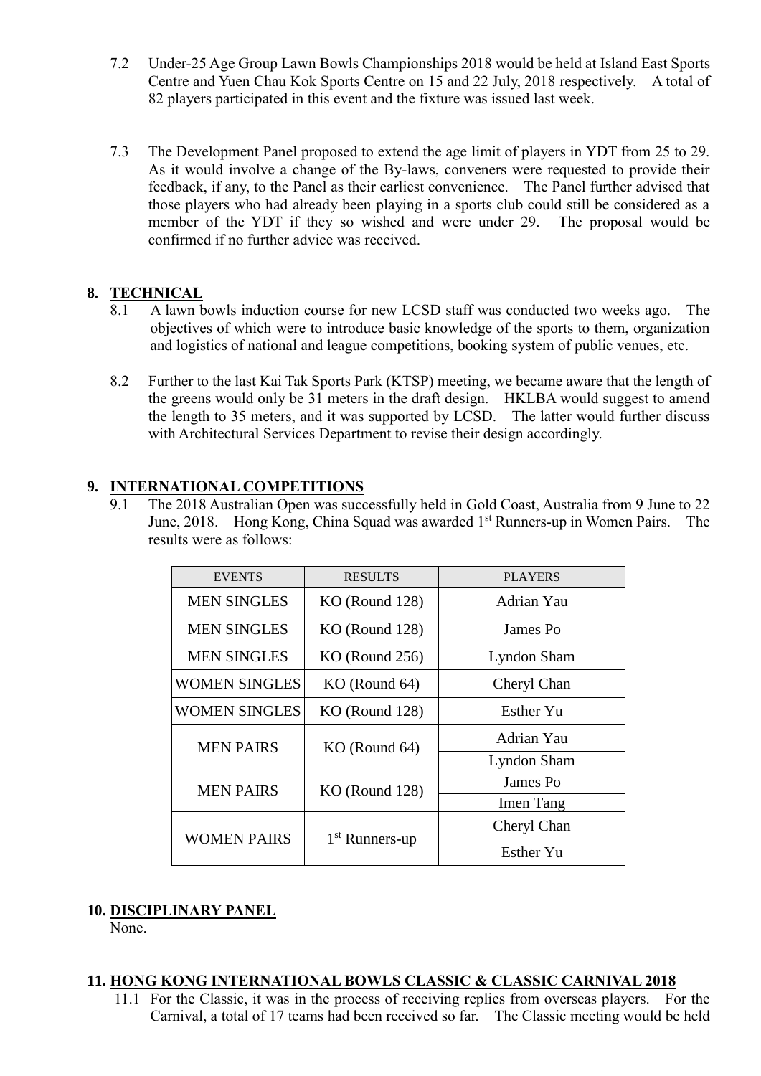- 7.2 Under-25 Age Group Lawn Bowls Championships 2018 would be held at Island East Sports Centre and Yuen Chau Kok Sports Centre on 15 and 22 July, 2018 respectively. A total of 82 players participated in this event and the fixture was issued last week.
- 7.3 The Development Panel proposed to extend the age limit of players in YDT from 25 to 29. As it would involve a change of the By-laws, conveners were requested to provide their feedback, if any, to the Panel as their earliest convenience. The Panel further advised that those players who had already been playing in a sports club could still be considered as a member of the YDT if they so wished and were under 29. The proposal would be confirmed if no further advice was received.

## **8. TECHNICAL**

- 8.1 A lawn bowls induction course for new LCSD staff was conducted two weeks ago. The objectives of which were to introduce basic knowledge of the sports to them, organization and logistics of national and league competitions, booking system of public venues, etc.
- 8.2 Further to the last Kai Tak Sports Park (KTSP) meeting, we became aware that the length of the greens would only be 31 meters in the draft design. HKLBA would suggest to amend the length to 35 meters, and it was supported by LCSD. The latter would further discuss with Architectural Services Department to revise their design accordingly.

## **9. INTERNATIONAL COMPETITIONS**

9.1 The 2018 Australian Open was successfully held in Gold Coast, Australia from 9 June to 22 June, 2018. Hong Kong, China Squad was awarded 1st Runners-up in Women Pairs. The results were as follows:

| <b>EVENTS</b>        | <b>RESULTS</b>   | <b>PLAYERS</b> |  |
|----------------------|------------------|----------------|--|
| <b>MEN SINGLES</b>   | $KO$ (Round 128) | Adrian Yau     |  |
| <b>MEN SINGLES</b>   | $KO$ (Round 128) | James Po       |  |
| <b>MEN SINGLES</b>   | $KO$ (Round 256) | Lyndon Sham    |  |
| <b>WOMEN SINGLES</b> | KO (Round 64)    | Cheryl Chan    |  |
| <b>WOMEN SINGLES</b> | $KO$ (Round 128) | Esther Yu      |  |
| <b>MEN PAIRS</b>     | $KO$ (Round 64)  | Adrian Yau     |  |
|                      |                  | Lyndon Sham    |  |
| <b>MEN PAIRS</b>     | $KO$ (Round 128) | James Po       |  |
|                      |                  | Imen Tang      |  |
| <b>WOMEN PAIRS</b>   |                  | Cheryl Chan    |  |
|                      | $1st$ Runners-up | Esther Yu      |  |

# **10. DISCIPLINARY PANEL**

None.

## **11. HONG KONG INTERNATIONAL BOWLS CLASSIC & CLASSIC CARNIVAL 2018**

11.1 For the Classic, it was in the process of receiving replies from overseas players. For the Carnival, a total of 17 teams had been received so far. The Classic meeting would be held